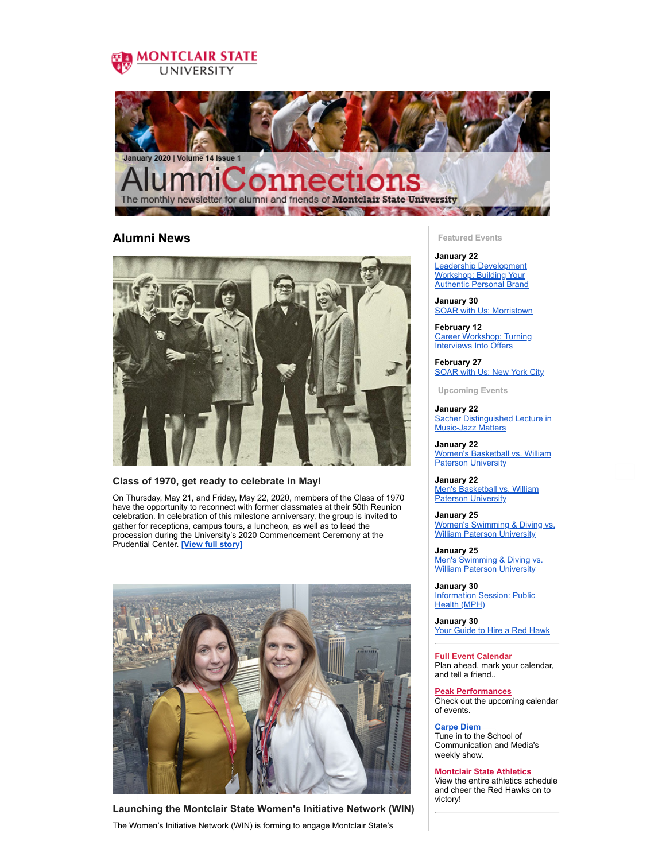



## **Alumni News**



## **Class of 1970, get ready to celebrate in May!**

On Thursday, May 21, and Friday, May 22, 2020, members of the Class of 1970 have the opportunity to reconnect with former classmates at their 50th Reunion celebration. In celebration of this milestone anniversary, the group is invited to gather for receptions, campus tours, a luncheon, as well as to lead the procession during the University's 2020 Commencement Ceremony at the Prudential Center. **[View full [story\]](https://montclairconnect.org/page.redir?target=https%3a%2f%2fwww.montclair.edu%2falumni%2f2020%2f01%2f14%2fclass-of-1970-get-ready-to-celebrate-in-may%2f&srcid=29558&srctid=1&erid=26256646&trid=d7245990-7847-4697-8fdf-8910f9bfcfc6)**



**Launching the Montclair State Women's Initiative Network (WIN)** The Women's Initiative Network (WIN) is forming to engage Montclair State's

**Featured Events**

**January 22** Leadership [Development](https://montclairconnect.org/page.redir?target=https%3a%2f%2fmontclairconnect.org%2fget-involved%2fevent-detail%3fcid%3d6%26ceid%3d1672%26cerid%3d0%26cdt%3d1%252f22%252f2020&srcid=29558&srctid=1&erid=26256646&trid=d7245990-7847-4697-8fdf-8910f9bfcfc6) Workshop: Building Your Authentic Personal Brand

**January 30** SOAR with Us: [Morristown](https://montclairconnect.org/page.redir?target=https%3a%2f%2fmontclairconnect.org%2fget-involved%2fevent-detail%3fcid%3d6%26ceid%3d1673%26cerid%3d0%26cdt%3d1%252f30%252f2020&srcid=29558&srctid=1&erid=26256646&trid=d7245990-7847-4697-8fdf-8910f9bfcfc6)

**February 12** Career [Workshop:](https://montclairconnect.org/page.redir?target=https%3a%2f%2fmontclairconnect.org%2fget-involved%2fevent-calendar%3fcid%3d6%26ceid%3d1686%26cerid%3d0%26cdt%3d2%252f12%252f2020&srcid=29558&srctid=1&erid=26256646&trid=d7245990-7847-4697-8fdf-8910f9bfcfc6) Turning Interviews Into Offers

**February 27** [SOAR](https://montclairconnect.org/page.redir?target=https%3a%2f%2fmontclairconnect.org%2fget-involved%2fevent-detail%3fcid%3d6%26ceid%3d1675%26cerid%3d0%26cdt%3d2%252f27%252f2020&srcid=29558&srctid=1&erid=26256646&trid=d7245990-7847-4697-8fdf-8910f9bfcfc6) with Us: New York City

**Upcoming Events**

**January 22** Sacher [Distinguished](https://montclairconnect.org/page.redir?target=https%3a%2f%2fmontclairconnect.org%2fget-involved%2fevent-detail%3fcid%3d6%26ceid%3d1664%26cerid%3d0%26cdt%3d1%252f22%252f2020&srcid=29558&srctid=1&erid=26256646&trid=d7245990-7847-4697-8fdf-8910f9bfcfc6) Lecture in Music-Jazz Matters

**January 22** Women's [Basketball](https://montclairconnect.org/page.redir?target=https%3a%2f%2fmontclairconnect.org%2fget-involved%2fevent-detail%3fcid%3d6%26ceid%3d1659%26cerid%3d0%26cdt%3d1%252f22%252f2020&srcid=29558&srctid=1&erid=26256646&trid=d7245990-7847-4697-8fdf-8910f9bfcfc6) vs. William Paterson University

**January 22** Men's [Basketball](https://montclairconnect.org/page.redir?target=https%3a%2f%2fmontclairconnect.org%2fget-involved%2fevent-detail%3fcid%3d6%26ceid%3d1653%26cerid%3d0%26cdt%3d1%252f22%252f2020&srcid=29558&srctid=1&erid=26256646&trid=d7245990-7847-4697-8fdf-8910f9bfcfc6) vs. William **Paterson University** 

**January 25** Women's [Swimming](https://montclairconnect.org/page.redir?target=https%3a%2f%2fmontclairconnect.org%2fget-involved%2fevent-detail%3fcid%3d6%26ceid%3d1662%26cerid%3d0%26cdt%3d1%252f25%252f2020&srcid=29558&srctid=1&erid=26256646&trid=d7245990-7847-4697-8fdf-8910f9bfcfc6) & Diving vs. **William Paterson University** 

**January 25** Men's [Swimming](https://montclairconnect.org/page.redir?target=https%3a%2f%2fmontclairconnect.org%2fget-involved%2fevent-detail%3fcid%3d6%26ceid%3d1656%26cerid%3d0%26cdt%3d1%252f25%252f2020&srcid=29558&srctid=1&erid=26256646&trid=d7245990-7847-4697-8fdf-8910f9bfcfc6) & Diving vs. William Paterson University

**January 30** [Information](https://montclairconnect.org/page.redir?target=https%3a%2f%2fmontclairconnect.org%2fget-involved%2fevent-detail%3fcid%3d6%26ceid%3d1671%26cerid%3d0%26cdt%3d1%252f30%252f2020&srcid=29558&srctid=1&erid=26256646&trid=d7245990-7847-4697-8fdf-8910f9bfcfc6) Session: Public Health (MPH)

**January 30** Your [Guide](https://montclairconnect.org/page.redir?target=https%3a%2f%2fmontclairconnect.org%2fget-involved%2fevent-detail%3fcid%3d6%26ceid%3d1650%26cerid%3d0%26cdt%3d1%252f30%252f2020&srcid=29558&srctid=1&erid=26256646&trid=d7245990-7847-4697-8fdf-8910f9bfcfc6) to Hire a Red Hawk

**Full Event [Calendar](https://montclairconnect.org/page.redir?target=http%3a%2f%2fmontclairconnect.org%2fget-involved%2fevent-calendar&srcid=29558&srctid=1&erid=26256646&trid=d7245990-7847-4697-8fdf-8910f9bfcfc6)** Plan ahead, mark your calendar, and tell a friend..

**Peak [Performances](https://montclairconnect.org/page.redir?target=http%3a%2f%2fpeakperf.org%2f&srcid=29558&srctid=1&erid=26256646&trid=d7245990-7847-4697-8fdf-8910f9bfcfc6)** Check out the upcoming calendar of events.

**[Carpe](https://montclairconnect.org/page.redir?target=http%3a%2f%2fwww.montclair.edu%2fschool-of-communication-and-media%2fstudent-productions%2fcarpe-diem%2f&srcid=29558&srctid=1&erid=26256646&trid=d7245990-7847-4697-8fdf-8910f9bfcfc6) Diem** Tune in to the School of Communication and Media's weekly show.

**[Montclair](https://montclairconnect.org/page.redir?target=http%3a%2f%2fwww.montclairathletics.com%2fcalendar.aspx&srcid=29558&srctid=1&erid=26256646&trid=d7245990-7847-4697-8fdf-8910f9bfcfc6) State Athletics**

View the entire athletics schedule and cheer the Red Hawks on to victory!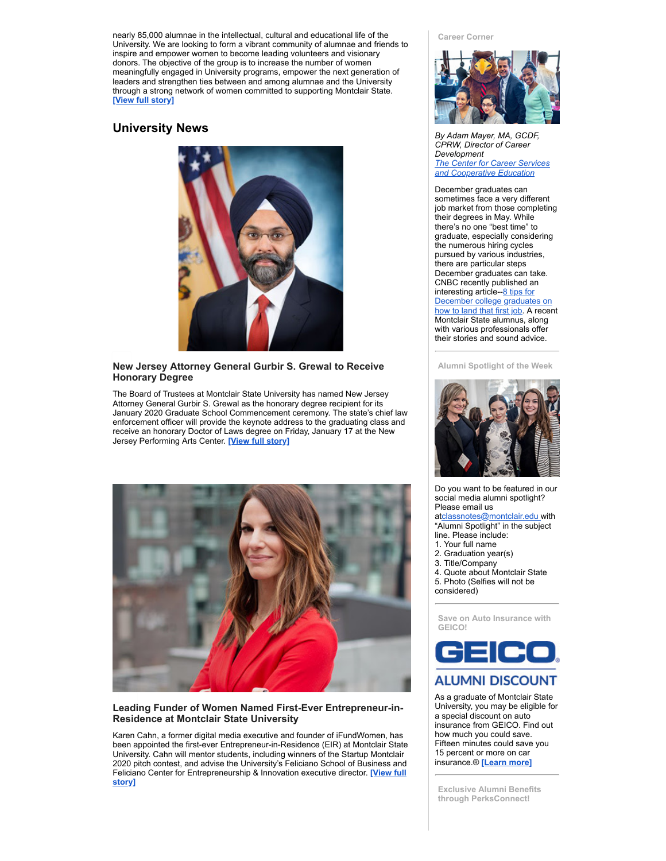nearly 85,000 alumnae in the intellectual, cultural and educational life of the University. We are looking to form a vibrant community of alumnae and friends to inspire and empower women to become leading volunteers and visionary donors. The objective of the group is to increase the number of women meaningfully engaged in University programs, empower the next generation of leaders and strengthen ties between and among alumnae and the University through a strong network of women committed to supporting Montclair State. **[View full [story\]](https://montclairconnect.org/page.redir?target=https%3a%2f%2fwww.montclair.edu%2falumni%2f2020%2f01%2f15%2flaunching-the-montclair-state-womens-initiative-network-win%2f&srcid=29558&srctid=1&erid=26256646&trid=d7245990-7847-4697-8fdf-8910f9bfcfc6)**

## **University News**



## **New Jersey Attorney General Gurbir S. Grewal to Receive Honorary Degree**

The Board of Trustees at Montclair State University has named New Jersey Attorney General Gurbir S. Grewal as the honorary degree recipient for its January 2020 Graduate School Commencement ceremony. The state's chief law enforcement officer will provide the keynote address to the graduating class and receive an honorary Doctor of Laws degree on Friday, January 17 at the New Jersey Performing Arts Center. **[View full [story\]](https://montclairconnect.org/page.redir?target=https%3a%2f%2fwww.montclair.edu%2fcommencement%2fgraduate%2fwinter%2fhonorary-degree-recipient-2%2f&srcid=29558&srctid=1&erid=26256646&trid=d7245990-7847-4697-8fdf-8910f9bfcfc6)**



## **Leading Funder of Women Named First-Ever Entrepreneur-in-Residence at Montclair State University**

Karen Cahn, a former digital media executive and founder of iFundWomen, has been appointed the first-ever Entrepreneur-in-Residence (EIR) at Montclair State University. Cahn will mentor students, including winners of the Startup Montclair 2020 pitch contest, and advise the University's Feliciano School of Business and Feliciano Center for [Entrepreneurship](https://montclairconnect.org/page.redir?target=https%3a%2f%2fwww.montclair.edu%2fnewscenter%2f2020%2f01%2f07%2fleading-funder-of-women-named-first-ever-entrepreneur-in-residence-at-montclair-state-university%2f&srcid=29558&srctid=1&erid=26256646&trid=d7245990-7847-4697-8fdf-8910f9bfcfc6) & Innovation executive director. **[View full story]**

#### **Career Corner**



*By Adam Mayer, MA, GCDF, CPRW, Director of Career Development The Center for Career Services and [Cooperative](https://montclairconnect.org/page.redir?target=https%3a%2f%2fmontclairconnect.org%2fpage.redir%3ftarget%3dhttps%253a%252f%252fmontclairconnect.org%252fpage.redir%253ftarget%253dhttps%25253a%25252f%25252fwww.montclair.edu%25252fcareer-services%2526srcid%253d17957%2526srctid%253d1%2526erid%253d11972655%2526trid%253dea24d8b9-ff5c-4bc9-a821-90e892f0da00%26srcid%3d23723%26srctid%3d1%26erid%3d19337712%26trid%3df3fab8ab-6d6b-439c-85fc-4696792fd941&srcid=29558&srctid=1&erid=26256646&trid=d7245990-7847-4697-8fdf-8910f9bfcfc6) Education*

December graduates can sometimes face a very different job market from those completing their degrees in May. While there's no one "best time" to graduate, especially considering the numerous hiring cycles pursued by various industries, there are particular steps December graduates can take. CNBC recently published an [interesting](https://montclairconnect.org/page.redir?target=https%3a%2f%2fwww.cnbc.com%2f2019%2f12%2f19%2f8-tips-for-december-college-graduates-on-how-to-land-that-first-job.html&srcid=29558&srctid=1&erid=26256646&trid=d7245990-7847-4697-8fdf-8910f9bfcfc6) article--8 tips for December college graduates on how to land that first job. A recent Montclair State alumnus, along with various professionals offer their stories and sound advice.

**Alumni Spotlight of the Week**



Do you want to be featured in our social media alumni spotlight? Please email us

a[tclassnotes@montclair.edu](mailto:classnotes@montclair.edu) with "Alumni Spotlight" in the subject

- line. Please include:
- 1. Your full name 2. Graduation year(s)
- 3. Title/Company
- 4. Quote about Montclair State
- 5. Photo (Selfies will not be
- considered)

**Save on Auto Insurance with GEICO!**



# **ALUMNI DISCOUNT**

As a graduate of Montclair State University, you may be eligible for a special discount on auto insurance from GEICO. Find out how much you could save. Fifteen minutes could save you 15 percent or more on car insurance.® **[\[Learn](https://montclairconnect.org/page.redir?target=https%3a%2f%2fwww.geico.com%2flandingpage%2fgo51.htm%3flogo%3d17794%26utm_source%3dmontclair-state-university%26utm_medium%3demail%26utm_campaign%3dsponsored-alumni&srcid=29558&srctid=1&erid=26256646&trid=d7245990-7847-4697-8fdf-8910f9bfcfc6) more]**

**Exclusive Alumni Benefits through PerksConnect!**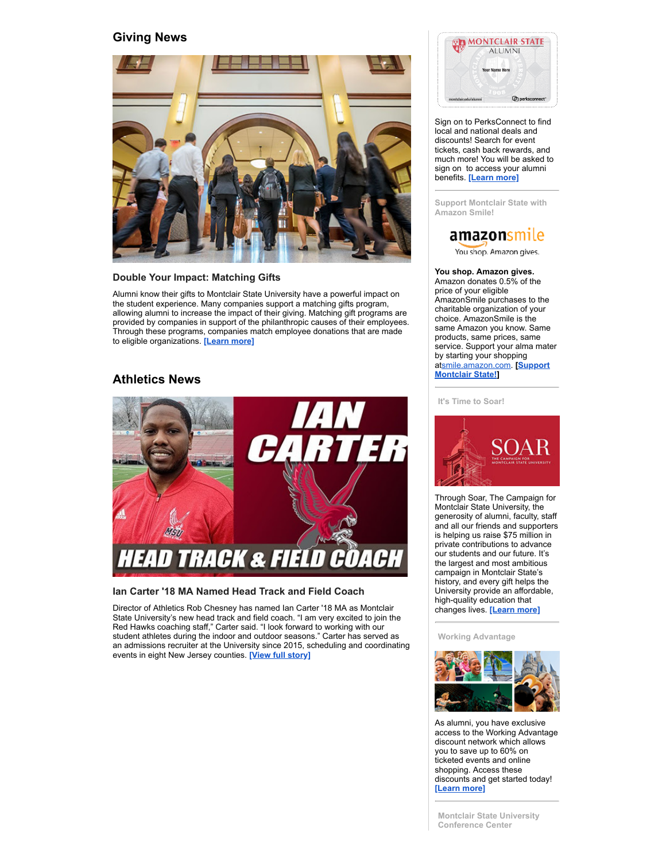## **Giving News**



#### **Double Your Impact: Matching Gifts**

Alumni know their gifts to Montclair State University have a powerful impact on the student experience. Many companies support a matching gifts program, allowing alumni to increase the impact of their giving. Matching gift programs are provided by companies in support of the philanthropic causes of their employees. Through these programs, companies match employee donations that are made to eligible organizations. **[\[Learn](https://montclairconnect.org/page.redir?target=https%3a%2f%2fwww.montclair.edu%2falumni%2f2020%2f01%2f08%2fdouble-your-impact-matching-gifts%2f&srcid=29558&srctid=1&erid=26256646&trid=d7245990-7847-4697-8fdf-8910f9bfcfc6) more]**

## **Athletics News**



## **Ian Carter '18 MA Named Head Track and Field Coach**

Director of Athletics Rob Chesney has named Ian Carter '18 MA as Montclair State University's new head track and field coach. "I am very excited to join the Red Hawks coaching staff," Carter said. "I look forward to working with our student athletes during the indoor and outdoor seasons." Carter has served as an admissions recruiter at the University since 2015, scheduling and coordinating events in eight New Jersey counties. **[View full [story\]](https://montclairconnect.org/page.redir?target=https%3a%2f%2fwww.montclair.edu%2fnewscenter%2f2020%2f01%2f10%2fian-carter-named-head-track-and-field-coach%2f&srcid=29558&srctid=1&erid=26256646&trid=d7245990-7847-4697-8fdf-8910f9bfcfc6)**



Sign on to PerksConnect to find local and national deals and discounts! Search for event tickets, cash back rewards, and much more! You will be asked to sign on to access your alumni benefits. **[\[Learn](https://montclairconnect.org/page.redir?target=http%3a%2f%2fmontclairconnect.org%2fbenefits-and-services%2fdiscounts&srcid=29558&srctid=1&erid=26256646&trid=d7245990-7847-4697-8fdf-8910f9bfcfc6) more]**

**Support Montclair State with Amazon Smile!**

# amazonsmile

You shop. Amazon gives.

#### **You shop. Amazon gives.**

Amazon donates 0.5% of the price of your eligible AmazonSmile purchases to the charitable organization of your choice. AmazonSmile is the same Amazon you know. Same products, same prices, same service. Support your alma mater by starting your shopping [at](https://montclairconnect.org/page.redir?target=http%3a%2f%2fsmile.amazon.com%2fch%2f22-6017209&srcid=29558&srctid=1&erid=26256646&trid=d7245990-7847-4697-8fdf-8910f9bfcfc6)[smile.amazon.com](http://smile.amazon.com/)[.](https://montclairconnect.org/page.redir?target=http%3a%2f%2fsmile.amazon.com%2fch%2f22-6017209&srcid=29558&srctid=1&erid=26256646&trid=d7245990-7847-4697-8fdf-8910f9bfcfc6) **[Support Montclair State!]**

#### **It's Time to Soar!**



Through Soar, The Campaign for Montclair State University, the generosity of alumni, faculty, staff and all our friends and supporters is helping us raise \$75 million in private contributions to advance our students and our future. It's the largest and most ambitious campaign in Montclair State's history, and every gift helps the University provide an affordable, high-quality education that changes lives. **[\[Learn](https://montclairconnect.org/page.redir?target=https%3a%2f%2fmontclairconnect.org%2fpage.redir%3ftarget%3dhttps%253a%252f%252fwww.montclair.edu%252fsoar%252f%26srcid%3d24577%26srctid%3d1%26erid%3d20440623%26trid%3d9a3642cf-31af-437f-9a28-5ea7ee191d98&srcid=29558&srctid=1&erid=26256646&trid=d7245990-7847-4697-8fdf-8910f9bfcfc6) more]**

**Working Advantage**



As alumni, you have exclusive access to the Working Advantage discount network which allows you to save up to 60% on ticketed events and online shopping. Access these discounts and get started today! **[\[Learn](https://montclairconnect.org/page.redir?target=https%3a%2f%2fmontclairconnect.org%2fpage.redir%3ftarget%3dhttps%253a%252f%252fwww.workingadvantage.com%252fmontclair%26srcid%3d24577%26srctid%3d1%26erid%3d20440623%26trid%3d9a3642cf-31af-437f-9a28-5ea7ee191d98&srcid=29558&srctid=1&erid=26256646&trid=d7245990-7847-4697-8fdf-8910f9bfcfc6) more]**

**Montclair State University Conference Center**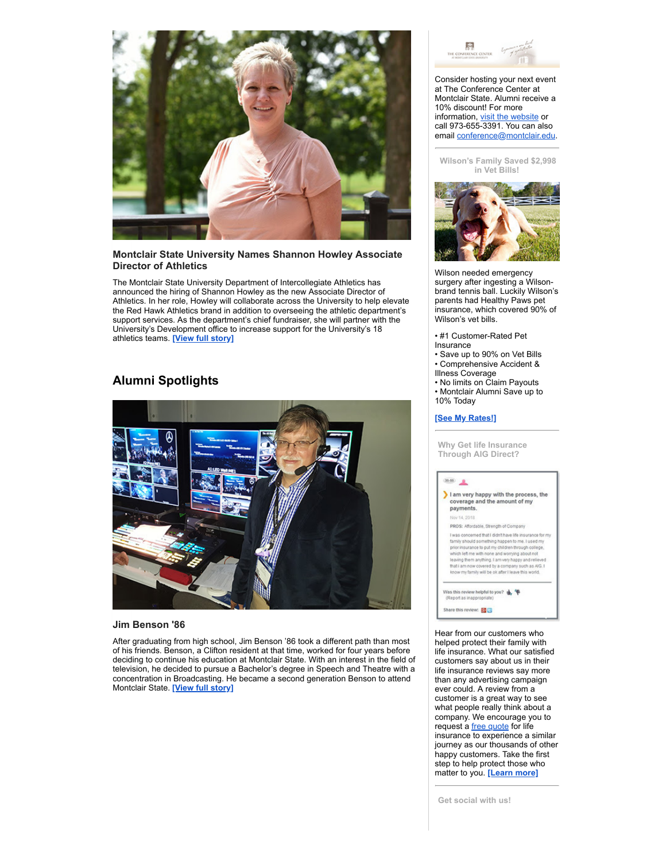

## **Montclair State University Names Shannon Howley Associate Director of Athletics**

The Montclair State University Department of Intercollegiate Athletics has announced the hiring of Shannon Howley as the new Associate Director of Athletics. In her role, Howley will collaborate across the University to help elevate the Red Hawk Athletics brand in addition to overseeing the athletic department's support services. As the department's chief fundraiser, she will partner with the University's Development office to increase support for the University's 18 athletics teams. **[View full [story\]](https://montclairconnect.org/page.redir?target=https%3a%2f%2fwww.montclair.edu%2fnewscenter%2f2019%2f12%2f24%2fmontclair-state-university-names-shannon-howley-associate-director-of-athletics%2f&srcid=29558&srctid=1&erid=26256646&trid=d7245990-7847-4697-8fdf-8910f9bfcfc6)**

## **Alumni Spotlights**



## **Jim Benson '86**

After graduating from high school, Jim Benson '86 took a different path than most of his friends. Benson, a Clifton resident at that time, worked for four years before deciding to continue his education at Montclair State. With an interest in the field of television, he decided to pursue a Bachelor's degree in Speech and Theatre with a concentration in Broadcasting. He became a second generation Benson to attend Montclair State. **[View full [story\]](https://montclairconnect.org/page.redir?target=https%3a%2f%2fwww.montclair.edu%2falumni%2f2020%2f01%2f13%2fjim-benson-86%2f&srcid=29558&srctid=1&erid=26256646&trid=d7245990-7847-4697-8fdf-8910f9bfcfc6)**



Consider hosting your next event at The Conference Center at Montclair State. Alumni receive a 10% discount! For more information, visit the [website](https://montclairconnect.org/page.redir?target=https%3a%2f%2fmontclairconnect.org%2fpage.redir%3ftarget%3dhttp%253a%252f%252fwww.montclair.edu%252fconferencecenter%26srcid%3d24577%26srctid%3d1%26erid%3d20440623%26trid%3d9a3642cf-31af-437f-9a28-5ea7ee191d98&srcid=29558&srctid=1&erid=26256646&trid=d7245990-7847-4697-8fdf-8910f9bfcfc6) or call 973-655-3391. You can also email [conference@montclair.edu.](mailto:conference@montclair.edu)

**Wilson's Family Saved \$2,998 in Vet Bills!**



Wilson needed emergency surgery after ingesting a Wilsonbrand tennis ball. Luckily Wilson's parents had Healthy Paws pet insurance, which covered 90% of Wilson's vet bills.

- #1 Customer-Rated Pet Insurance
- Save up to 90% on Vet Bills • Comprehensive Accident &
- Illness Coverage • No limits on Claim Payouts
- Montclair Alumni Save up to 10% Today

## **[See My [Rates!\]](https://montclairconnect.org/page.redir?target=https%3a%2f%2fwww.healthypawspetinsurance.com%2fpethealth%2f%3faffid%3daaisaff%26subid%3dmontclair%26utm_source%3dAAIS%26utm_medium%3dreferral%26utm_campaign%3dmontclair-email-sept-2018&srcid=29558&srctid=1&erid=26256646&trid=d7245990-7847-4697-8fdf-8910f9bfcfc6)**

**Why Get life Insurance Through AIG Direct?**



Hear from our customers who helped protect their family with life insurance. What our satisfied customers say about us in their life insurance reviews say more than any advertising campaign ever could. A review from a customer is a great way to see what people really think about a company. We encourage you to request a free [quote](https://montclairconnect.org/page.redir?target=https%3a%2f%2fmontclairconnect.org%2fpage.redir%3ftarget%3dhttps%253a%252f%252fwww.aigdirect.com%252fmontclair%252fprotect-your-family%253fdnis%253d8252%2526cmpid%253d0003%26srcid%3d24577%26srctid%3d1%26erid%3d20440623%26trid%3d9a3642cf-31af-437f-9a28-5ea7ee191d98&srcid=29558&srctid=1&erid=26256646&trid=d7245990-7847-4697-8fdf-8910f9bfcfc6) for life insurance to experience a similar journey as our thousands of other happy customers. Take the first step to help protect those who matter to you. **[\[Learn](https://montclairconnect.org/page.redir?target=https%3a%2f%2fmontclairconnect.org%2fpage.redir%3ftarget%3dhttps%253a%252f%252fwww.aigdirect.com%252fabout-us%252flife-insurance-reviews%26srcid%3d24577%26srctid%3d1%26erid%3d20440623%26trid%3d9a3642cf-31af-437f-9a28-5ea7ee191d98&srcid=29558&srctid=1&erid=26256646&trid=d7245990-7847-4697-8fdf-8910f9bfcfc6) more]**

**Get social with us!**